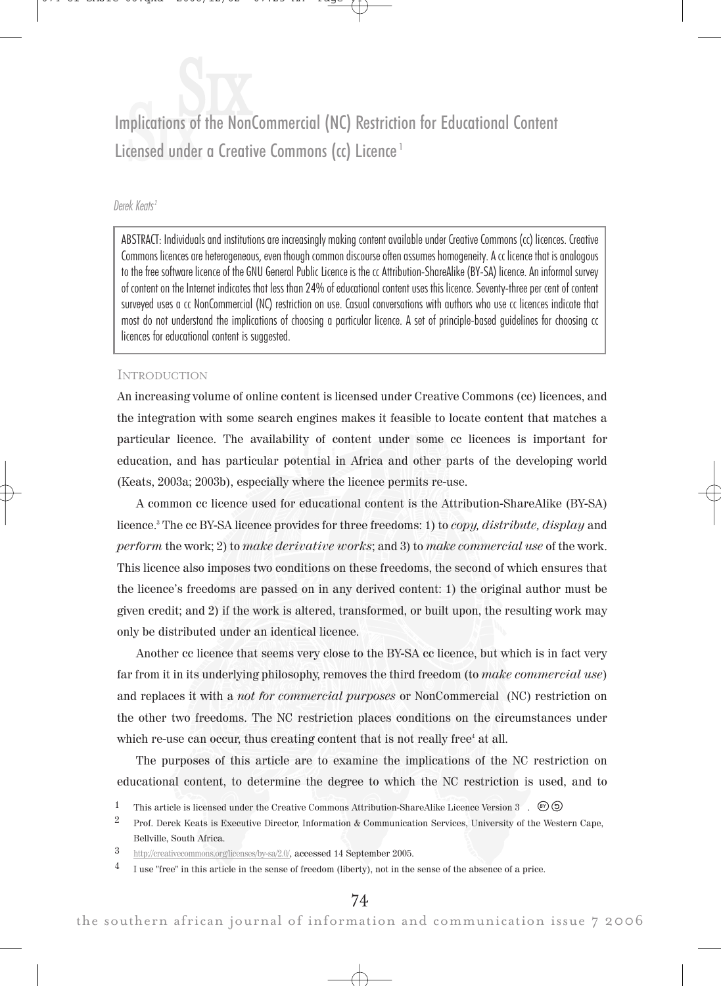Implications of the NonCommercial (NC) Restriction for Educational Content Licensed under a Creative Commons (cc) Licence<sup>1</sup>

# Derek Keats <sup>2</sup>

ABSTRACT: Individuals and institutions are increasingly making content available under Creative Commons (cc) licences. Creative Commons licences are heterogeneous, even though common discourse often assumes homogeneity. A cc licence that is analogous to the free software licence of the GNU General Public Licence is the cc Attribution-ShareAlike (BY-SA) licence. An informal survey of content on the Internet indicates that less than 24% of educational content uses this licence. Seventy-three per cent of content surveyed uses a cc NonCommercial (NC) restriction on use. Casual conversations with authors who use cc licences indicate that most do not understand the implications of choosing a particular licence. A set of principle-based guidelines for choosing cc licences for educational content is suggested.

## INTRODUCTION

An increasing volume of online content is licensed under Creative Commons (cc) licences, and the integration with some search engines makes it feasible to locate content that matches a particular licence. The availability of content under some cc licences is important for education, and has particular potential in Africa and other parts of the developing world (Keats, 2003a; 2003b), especially where the licence permits re-use.

A common cc licence used for educational content is the Attribution-ShareAlike (BY-SA) licence.<sup>3</sup> The cc BY-SA licence provides for three freedoms: 1) to *copy, distribute, display* and perform the work; 2) to make derivative works; and 3) to make commercial use of the work. This licence also imposes two conditions on these freedoms, the second of which ensures that the licence's freedoms are passed on in any derived content: 1) the original author must be given credit; and 2) if the work is altered, transformed, or built upon, the resulting work may only be distributed under an identical licence.

Another cc licence that seems very close to the BY-SA cc licence, but which is in fact very far from it in its underlying philosophy, removes the third freedom (to *make commercial use*) and replaces it with a *not for commercial purposes* or NonCommercial (NC) restriction on the other two freedoms. The NC restriction places conditions on the circumstances under which re-use can occur, thus creating content that is not really free<sup>4</sup> at all.

The purposes of this article are to examine the implications of the NC restriction on educational content, to determine the degree to which the NC restriction is used, and to

<sup>&</sup>lt;sup>1</sup> This article is licensed under the Creative Commons Attribution-ShareAlike Licence Version 3 .  $\circledcirc$  5

<sup>2</sup> Prof. Derek Keats is Executive Director, Information & Communication Services, University of the Western Cape, Bellville, South Africa.

<sup>3</sup> http://creativecommons.org/licenses/by-sa/2.0/, accessed 14 September 2005.

<sup>4</sup> I use "free" in this article in the sense of freedom (liberty), not in the sense of the absence of a price.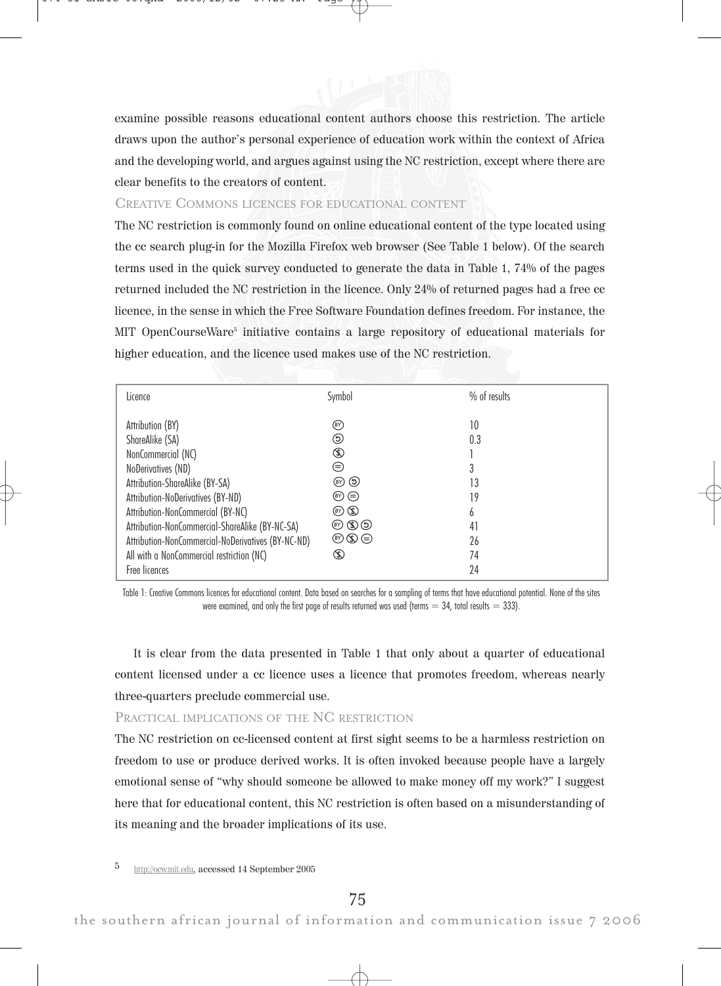examine possible reasons educational content authors choose this restriction. The article draws upon the author's personal experience of education work within the context of Africa and the developing world, and argues against using the NC restriction, except where there are clear benefits to the creators of content.

## CREATIVE COMMONS LICENCES FOR EDUCATIONAL CONTENT

The NC restriction is commonly found on online educational content of the type located using the cc search plug-in for the Mozilla Firefox web browser (See Table 1 below). Of the search terms used in the quick survey conducted to generate the data in Table 1, 74% of the pages returned included the NC restriction in the licence. Only 24% of returned pages had a free cc licence, in the sense in which the Free Software Foundation defines freedom. For instance, the MIT OpenCourseWare<sup>5</sup> initiative contains a large repository of educational materials for higher education, and the licence used makes use of the NC restriction.

| Licence                                                                                                                                                                                                                                                                                                                                                            | Symbol                                                                                                                                                        | % of results                                       |
|--------------------------------------------------------------------------------------------------------------------------------------------------------------------------------------------------------------------------------------------------------------------------------------------------------------------------------------------------------------------|---------------------------------------------------------------------------------------------------------------------------------------------------------------|----------------------------------------------------|
| Attribution (BY)<br>ShareAlike (SA)<br>NonCommercial (NC)<br>NoDerivatives (ND)<br>Attribution-ShareAlike (BY-SA)<br>Attribution-NoDerivatives (BY-ND)<br>Attribution-NonCommercial (BY-NC)<br>Attribution-NonCommercial-ShareAlike (BY-NC-SA)<br>Attribution-NonCommercial-NoDerivatives (BY-NC-ND)<br>All with a NonCommercial restriction (NC)<br>Free licences | (BY)<br>⊙<br>(\$)<br>$\left( =\right)$<br>(B) (D)<br>$(\mathbb{F})$ $(\equiv)$<br>$\circledcirc$ $\circledcirc$<br>のめの<br>$\circledcirc \circledcirc$<br>(\$) | 10<br>0.3<br>13<br>19<br>h<br>41<br>26<br>74<br>24 |
|                                                                                                                                                                                                                                                                                                                                                                    |                                                                                                                                                               |                                                    |

Table 1: Creative Commons licences for educational content. Data based on searches for a sampling of terms that have educational potential. None of the sites were examined, and only the first page of results returned was used (terms  $= 34$ , total results  $= 333$ ).

It is clear from the data presented in Table 1 that only about a quarter of educational content licensed under a cc licence uses a licence that promotes freedom, whereas nearly three-quarters preclude commercial use.

# PRACTICAL IMPLICATIONS OF THE NC RESTRICTION

The NC restriction on cc-licensed content at first sight seems to be a harmless restriction on freedom to use or produce derived works. It is often invoked because people have a largely emotional sense of "why should someone be allowed to make money off my work?" I suggest here that for educational content, this NC restriction is often based on a misunderstanding of its meaning and the broader implications of its use.

5 http://ocw.mit.edu, accessed 14 September 2005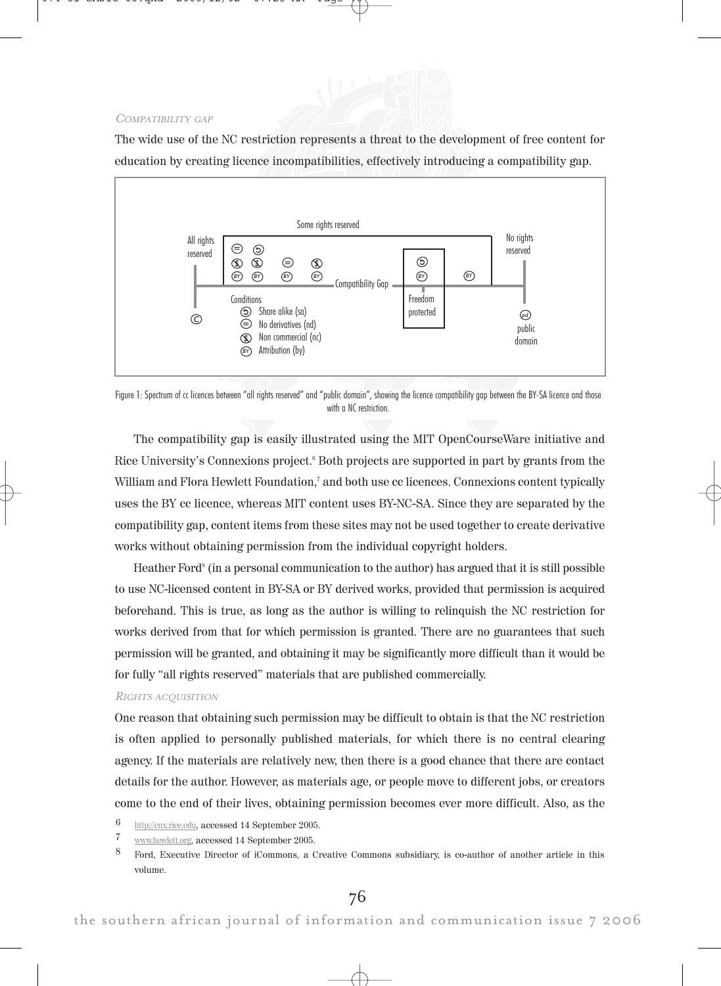#### COMPATIBILITY GAP

The wide use of the NC restriction represents a threat to the development of free content for education by creating licence incompatibilities, effectively introducing a compatibility gap.



Figure 1: Spectrum of cc licences between "all rights reserved" and "public domain", showing the licence compatibility gap between the BY-SA licence and those with a NC restriction.

The compatibility gap is easily illustrated using the MIT OpenCourseWare initiative and Rice University's Connexions project.<sup>6</sup> Both projects are supported in part by grants from the William and Flora Hewlett Foundation, $7$  and both use  $cc$  licences. Connexions content typically uses the BY cc licence, whereas MIT content uses BY-NC-SA. Since they are separated by the compatibility gap, content items from these sites may not be used together to create derivative works without obtaining permission from the individual copyright holders.

Heather Ford<sup>8</sup> (in a personal communication to the author) has argued that it is still possible to use NC-licensed content in BY-SA or BY derived works, provided that permission is acquired beforehand. This is true, as long as the author is willing to relinquish the NC restriction for works derived from that for which permission is granted. There are no guarantees that such permission will be granted, and obtaining it may be significantly more difficult than it would be for fully "all rights reserved" materials that are published commercially.

#### RIGHTS ACQUISITION

One reason that obtaining such permission may be difficult to obtain is that the NC restriction is often applied to personally published materials, for which there is no central clearing agency. If the materials are relatively new, then there is a good chance that there are contact details for the author. However, as materials age, or people move to different jobs, or creators come to the end of their lives, obtaining permission becomes ever more difficult. Also, as the

- $\frac{6}{7}$  http://cnx.rice.edu, accessed 14 September 2005.
- $\frac{7}{8}$  www.hewlett.org, accessed 14 September 2005.
- 8 Ford, Executive Director of iCommons, a Creative Commons subsidiary, is co-author of another article in this volume.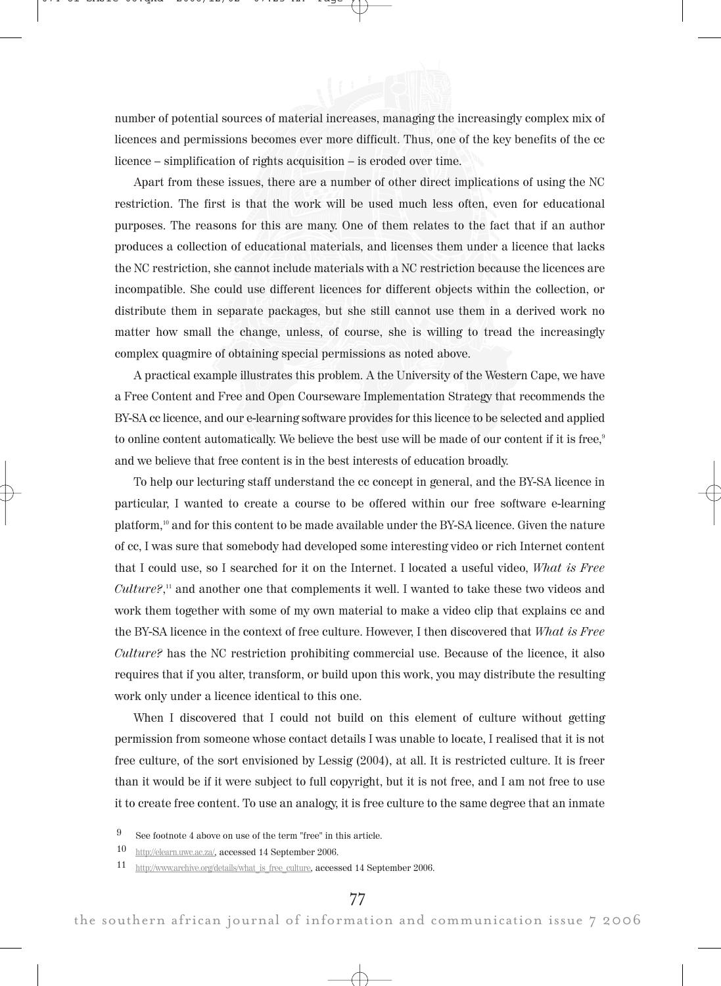number of potential sources of material increases, managing the increasingly complex mix of licences and permissions becomes ever more difficult. Thus, one of the key benefits of the cc licence – simplification of rights acquisition – is eroded over time.

Apart from these issues, there are a number of other direct implications of using the NC restriction. The first is that the work will be used much less often, even for educational purposes. The reasons for this are many. One of them relates to the fact that if an author produces a collection of educational materials, and licenses them under a licence that lacks the NC restriction, she cannot include materials with a NC restriction because the licences are incompatible. She could use different licences for different objects within the collection, or distribute them in separate packages, but she still cannot use them in a derived work no matter how small the change, unless, of course, she is willing to tread the increasingly complex quagmire of obtaining special permissions as noted above.

A practical example illustrates this problem. A the University of the Western Cape, we have a Free Content and Free and Open Courseware Implementation Strategy that recommends the BY-SA cc licence, and our e-learning software provides for this licence to be selected and applied to online content automatically. We believe the best use will be made of our content if it is free,<sup>9</sup> and we believe that free content is in the best interests of education broadly.

To help our lecturing staff understand the cc concept in general, and the BY-SA licence in particular, I wanted to create a course to be offered within our free software e-learning platform,<sup>10</sup> and for this content to be made available under the BY-SA licence. Given the nature of cc, I was sure that somebody had developed some interesting video or rich Internet content that I could use, so I searched for it on the Internet. I located a useful video, What is Free  $Culture?,<sup>11</sup>$  and another one that complements it well. I wanted to take these two videos and work them together with some of my own material to make a video clip that explains cc and the BY-SA licence in the context of free culture. However, I then discovered that What is Free Culture? has the NC restriction prohibiting commercial use. Because of the licence, it also requires that if you alter, transform, or build upon this work, you may distribute the resulting work only under a licence identical to this one.

When I discovered that I could not build on this element of culture without getting permission from someone whose contact details I was unable to locate, I realised that it is not free culture, of the sort envisioned by Lessig (2004), at all. It is restricted culture. It is freer than it would be if it were subject to full copyright, but it is not free, and I am not free to use it to create free content. To use an analogy, it is free culture to the same degree that an inmate

<sup>9</sup> See footnote 4 above on use of the term "free" in this article.

<sup>10</sup> http://elearn.uwc.ac.za/, accessed 14 September 2006.

<sup>11</sup> http://www.archive.org/details/what is free culture, accessed 14 September 2006.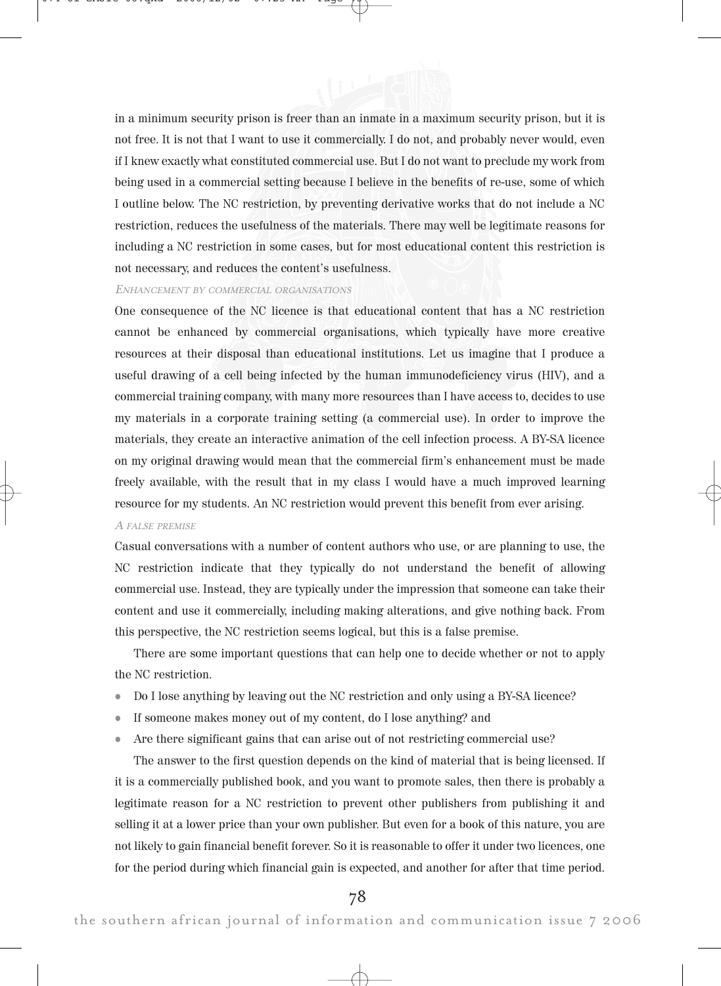

in a minimum security prison is freer than an inmate in a maximum security prison, but it is not free. It is not that I want to use it commercially. I do not, and probably never would, even if I knew exactly what constituted commercial use. But I do not want to preclude my work from being used in a commercial setting because I believe in the benefits of re-use, some of which I outline below. The NC restriction, by preventing derivative works that do not include a NC restriction, reduces the usefulness of the materials. There may well be legitimate reasons for including a NC restriction in some cases, but for most educational content this restriction is not necessary, and reduces the content's usefulness.

#### ENHANCEMENT BY COMMERCIAL ORGANISATIONS

One consequence of the NC licence is that educational content that has a NC restriction cannot be enhanced by commercial organisations, which typically have more creative resources at their disposal than educational institutions. Let us imagine that I produce a useful drawing of a cell being infected by the human immunodeficiency virus (HIV), and a commercial training company, with many more resources than I have access to, decides to use my materials in a corporate training setting (a commercial use). In order to improve the materials, they create an interactive animation of the cell infection process. A BY-SA licence on my original drawing would mean that the commercial firm's enhancement must be made freely available, with the result that in my class I would have a much improved learning resource for my students. An NC restriction would prevent this benefit from ever arising.

#### A FALSE PREMISE

Casual conversations with a number of content authors who use, or are planning to use, the NC restriction indicate that they typically do not understand the benefit of allowing commercial use. Instead, they are typically under the impression that someone can take their content and use it commercially, including making alterations, and give nothing back. From this perspective, the NC restriction seems logical, but this is a false premise.

There are some important questions that can help one to decide whether or not to apply the NC restriction.

- Do I lose anything by leaving out the NC restriction and only using a BY-SA licence?
- If someone makes money out of my content, do I lose anything? and
- Are there significant gains that can arise out of not restricting commercial use?

The answer to the first question depends on the kind of material that is being licensed. If it is a commercially published book, and you want to promote sales, then there is probably a legitimate reason for a NC restriction to prevent other publishers from publishing it and selling it at a lower price than your own publisher. But even for a book of this nature, you are not likely to gain financial benefit forever. So it is reasonable to offer it under two licences, one for the period during which financial gain is expected, and another for after that time period.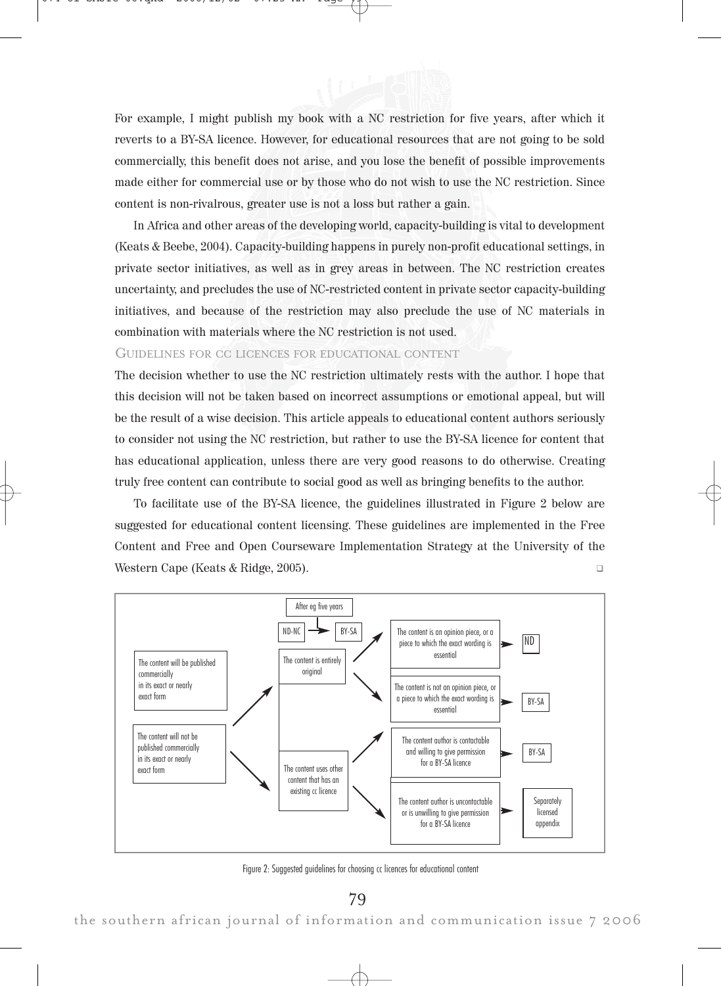

For example, I might publish my book with a NC restriction for five years, after which it reverts to a BY-SA licence. However, for educational resources that are not going to be sold commercially, this benefit does not arise, and you lose the benefit of possible improvements made either for commercial use or by those who do not wish to use the NC restriction. Since content is non-rivalrous, greater use is not a loss but rather a gain.

In Africa and other areas of the developing world, capacity-building is vital to development (Keats & Beebe, 2004). Capacity-building happens in purely non-profit educational settings, in private sector initiatives, as well as in grey areas in between. The NC restriction creates uncertainty, and precludes the use of NC-restricted content in private sector capacity-building initiatives, and because of the restriction may also preclude the use of NC materials in combination with materials where the NC restriction is not used.

# GUIDELINES FOR CC LICENCES FOR EDUCATIONAL CONTENT

The decision whether to use the NC restriction ultimately rests with the author. I hope that this decision will not be taken based on incorrect assumptions or emotional appeal, but will be the result of a wise decision. This article appeals to educational content authors seriously to consider not using the NC restriction, but rather to use the BY-SA licence for content that has educational application, unless there are very good reasons to do otherwise. Creating truly free content can contribute to social good as well as bringing benefits to the author.

To facilitate use of the BY-SA licence, the guidelines illustrated in Figure 2 below are suggested for educational content licensing. These guidelines are implemented in the Free Content and Free and Open Courseware Implementation Strategy at the University of the Western Cape (Keats & Ridge, 2005). -



Figure 2: Suggested guidelines for choosing cc licences for educational content

79

the southern african journal of information and communication issue 7 2006